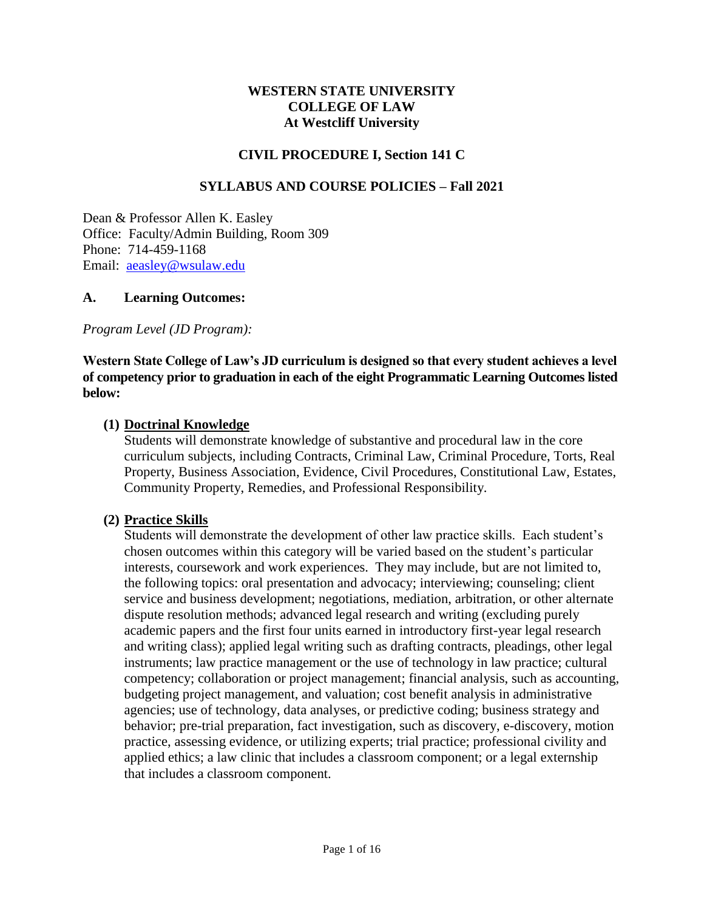#### **WESTERN STATE UNIVERSITY COLLEGE OF LAW At Westcliff University**

#### **CIVIL PROCEDURE I, Section 141 C**

#### **SYLLABUS AND COURSE POLICIES – Fall 2021**

Dean & Professor Allen K. Easley Office: Faculty/Admin Building, Room 309 Phone: 714-459-1168 Email: [aeasley@wsulaw.edu](mailto:aeasley@wsulaw.edu)

#### **A. Learning Outcomes:**

*Program Level (JD Program):*

#### **Western State College of Law's JD curriculum is designed so that every student achieves a level of competency prior to graduation in each of the eight Programmatic Learning Outcomes listed below:**

#### **(1) Doctrinal Knowledge**

Students will demonstrate knowledge of substantive and procedural law in the core curriculum subjects, including Contracts, Criminal Law, Criminal Procedure, Torts, Real Property, Business Association, Evidence, Civil Procedures, Constitutional Law, Estates, Community Property, Remedies, and Professional Responsibility.

#### **(2) Practice Skills**

Students will demonstrate the development of other law practice skills. Each student's chosen outcomes within this category will be varied based on the student's particular interests, coursework and work experiences. They may include, but are not limited to, the following topics: oral presentation and advocacy; interviewing; counseling; client service and business development; negotiations, mediation, arbitration, or other alternate dispute resolution methods; advanced legal research and writing (excluding purely academic papers and the first four units earned in introductory first-year legal research and writing class); applied legal writing such as drafting contracts, pleadings, other legal instruments; law practice management or the use of technology in law practice; cultural competency; collaboration or project management; financial analysis, such as accounting, budgeting project management, and valuation; cost benefit analysis in administrative agencies; use of technology, data analyses, or predictive coding; business strategy and behavior; pre-trial preparation, fact investigation, such as discovery, e-discovery, motion practice, assessing evidence, or utilizing experts; trial practice; professional civility and applied ethics; a law clinic that includes a classroom component; or a legal externship that includes a classroom component.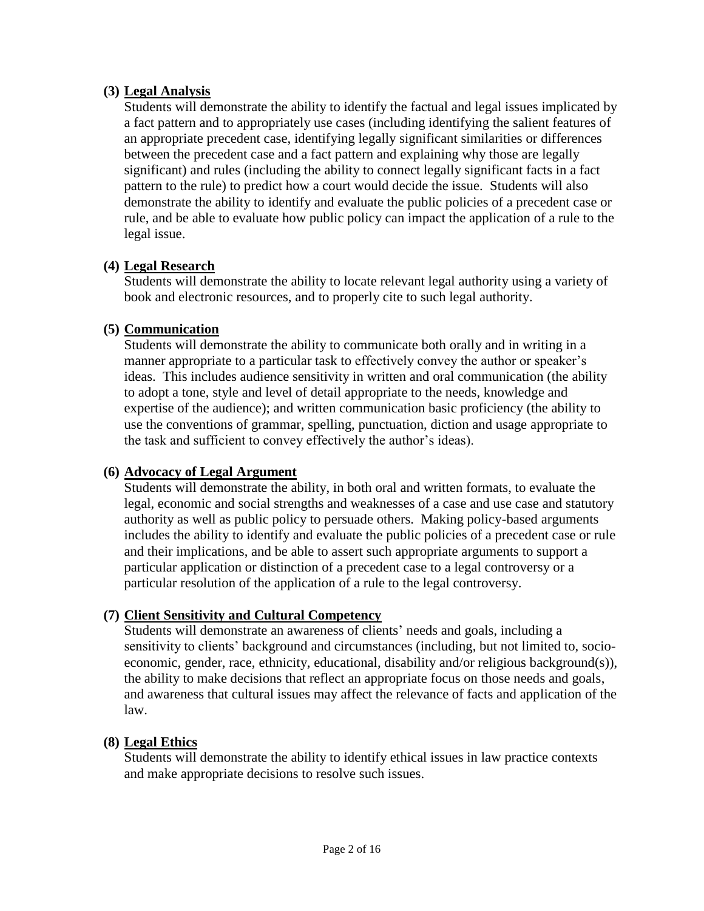### **(3) Legal Analysis**

Students will demonstrate the ability to identify the factual and legal issues implicated by a fact pattern and to appropriately use cases (including identifying the salient features of an appropriate precedent case, identifying legally significant similarities or differences between the precedent case and a fact pattern and explaining why those are legally significant) and rules (including the ability to connect legally significant facts in a fact pattern to the rule) to predict how a court would decide the issue. Students will also demonstrate the ability to identify and evaluate the public policies of a precedent case or rule, and be able to evaluate how public policy can impact the application of a rule to the legal issue.

### **(4) Legal Research**

Students will demonstrate the ability to locate relevant legal authority using a variety of book and electronic resources, and to properly cite to such legal authority.

### **(5) Communication**

Students will demonstrate the ability to communicate both orally and in writing in a manner appropriate to a particular task to effectively convey the author or speaker's ideas. This includes audience sensitivity in written and oral communication (the ability to adopt a tone, style and level of detail appropriate to the needs, knowledge and expertise of the audience); and written communication basic proficiency (the ability to use the conventions of grammar, spelling, punctuation, diction and usage appropriate to the task and sufficient to convey effectively the author's ideas).

# **(6) Advocacy of Legal Argument**

Students will demonstrate the ability, in both oral and written formats, to evaluate the legal, economic and social strengths and weaknesses of a case and use case and statutory authority as well as public policy to persuade others. Making policy-based arguments includes the ability to identify and evaluate the public policies of a precedent case or rule and their implications, and be able to assert such appropriate arguments to support a particular application or distinction of a precedent case to a legal controversy or a particular resolution of the application of a rule to the legal controversy.

# **(7) Client Sensitivity and Cultural Competency**

Students will demonstrate an awareness of clients' needs and goals, including a sensitivity to clients' background and circumstances (including, but not limited to, socioeconomic, gender, race, ethnicity, educational, disability and/or religious background(s)), the ability to make decisions that reflect an appropriate focus on those needs and goals, and awareness that cultural issues may affect the relevance of facts and application of the law.

### **(8) Legal Ethics**

Students will demonstrate the ability to identify ethical issues in law practice contexts and make appropriate decisions to resolve such issues.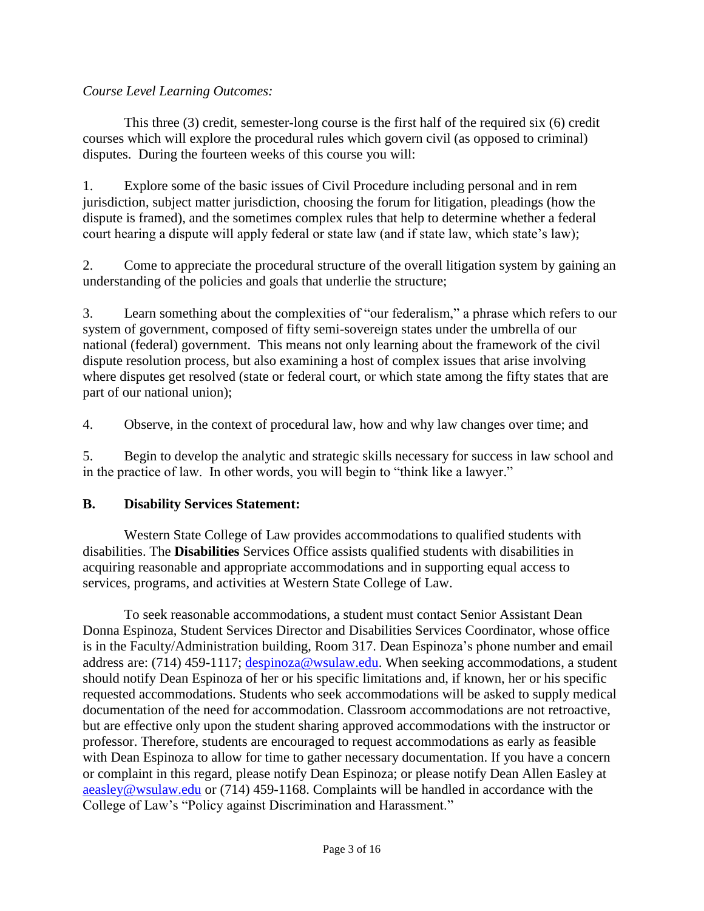### *Course Level Learning Outcomes:*

This three (3) credit, semester-long course is the first half of the required six (6) credit courses which will explore the procedural rules which govern civil (as opposed to criminal) disputes. During the fourteen weeks of this course you will:

1. Explore some of the basic issues of Civil Procedure including personal and in rem jurisdiction, subject matter jurisdiction, choosing the forum for litigation, pleadings (how the dispute is framed), and the sometimes complex rules that help to determine whether a federal court hearing a dispute will apply federal or state law (and if state law, which state's law);

2. Come to appreciate the procedural structure of the overall litigation system by gaining an understanding of the policies and goals that underlie the structure;

3. Learn something about the complexities of "our federalism," a phrase which refers to our system of government, composed of fifty semi-sovereign states under the umbrella of our national (federal) government. This means not only learning about the framework of the civil dispute resolution process, but also examining a host of complex issues that arise involving where disputes get resolved (state or federal court, or which state among the fifty states that are part of our national union);

4. Observe, in the context of procedural law, how and why law changes over time; and

5. Begin to develop the analytic and strategic skills necessary for success in law school and in the practice of law. In other words, you will begin to "think like a lawyer."

### **B. Disability Services Statement:**

Western State College of Law provides accommodations to qualified students with disabilities. The **Disabilities** Services Office assists qualified students with disabilities in acquiring reasonable and appropriate accommodations and in supporting equal access to services, programs, and activities at Western State College of Law.

To seek reasonable accommodations, a student must contact Senior Assistant Dean Donna Espinoza, Student Services Director and Disabilities Services Coordinator, whose office is in the Faculty/Administration building, Room 317. Dean Espinoza's phone number and email address are: (714) 459-1117; [despinoza@wsulaw.edu.](mailto:despinoza@wsulaw.edu) When seeking accommodations, a student should notify Dean Espinoza of her or his specific limitations and, if known, her or his specific requested accommodations. Students who seek accommodations will be asked to supply medical documentation of the need for accommodation. Classroom accommodations are not retroactive, but are effective only upon the student sharing approved accommodations with the instructor or professor. Therefore, students are encouraged to request accommodations as early as feasible with Dean Espinoza to allow for time to gather necessary documentation. If you have a concern or complaint in this regard, please notify Dean Espinoza; or please notify Dean Allen Easley at [aeasley@wsulaw.edu](mailto:aeasley@wsulaw.edu) or (714) 459-1168. Complaints will be handled in accordance with the College of Law's "Policy against Discrimination and Harassment."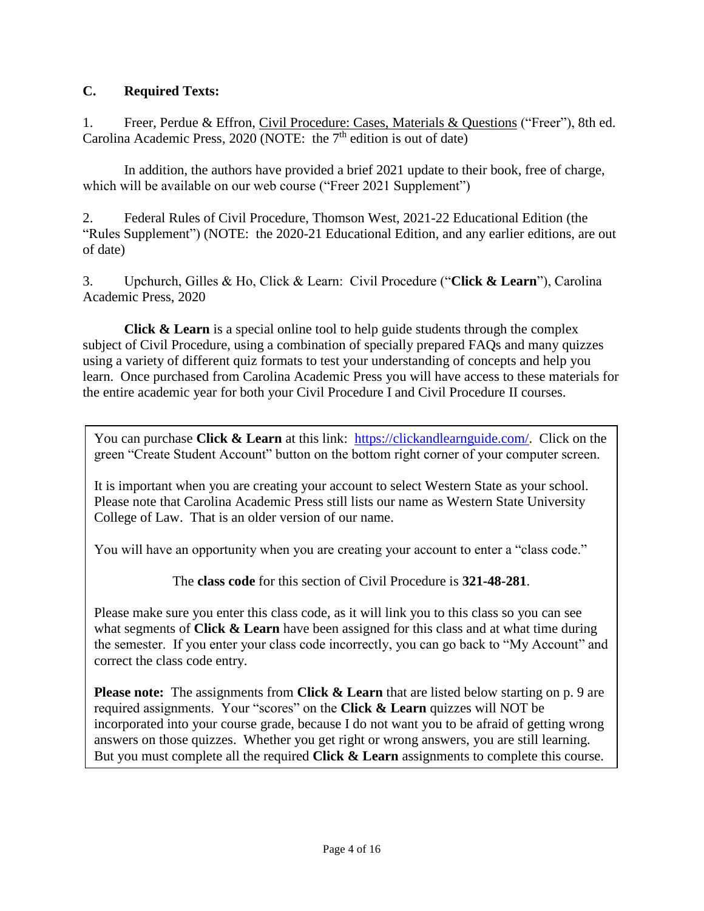# **C. Required Texts:**

1. Freer, Perdue & Effron, Civil Procedure: Cases, Materials & Questions ("Freer"), 8th ed. Carolina Academic Press, 2020 (NOTE: the  $7<sup>th</sup>$  edition is out of date)

In addition, the authors have provided a brief 2021 update to their book, free of charge, which will be available on our web course ("Freer 2021 Supplement")

2. Federal Rules of Civil Procedure, Thomson West, 2021-22 Educational Edition (the "Rules Supplement") (NOTE: the 2020-21 Educational Edition, and any earlier editions, are out of date)

3. Upchurch, Gilles & Ho, Click & Learn: Civil Procedure ("**Click & Learn**"), Carolina Academic Press, 2020

**Click & Learn** is a special online tool to help guide students through the complex subject of Civil Procedure, using a combination of specially prepared FAQs and many quizzes using a variety of different quiz formats to test your understanding of concepts and help you learn. Once purchased from Carolina Academic Press you will have access to these materials for the entire academic year for both your Civil Procedure I and Civil Procedure II courses.

You can purchase **Click & Learn** at this link: [https://clickandlearnguide.com/.](https://clickandlearnguide.com/) Click on the green "Create Student Account" button on the bottom right corner of your computer screen.

It is important when you are creating your account to select Western State as your school. Please note that Carolina Academic Press still lists our name as Western State University College of Law. That is an older version of our name.

You will have an opportunity when you are creating your account to enter a "class code."

The **class code** for this section of Civil Procedure is **321-48-281**.

Please make sure you enter this class code, as it will link you to this class so you can see what segments of **Click & Learn** have been assigned for this class and at what time during the semester. If you enter your class code incorrectly, you can go back to "My Account" and correct the class code entry.

**Please note:** The assignments from **Click & Learn** that are listed below starting on p. 9 are required assignments. Your "scores" on the **Click & Learn** quizzes will NOT be incorporated into your course grade, because I do not want you to be afraid of getting wrong answers on those quizzes. Whether you get right or wrong answers, you are still learning. But you must complete all the required **Click & Learn** assignments to complete this course.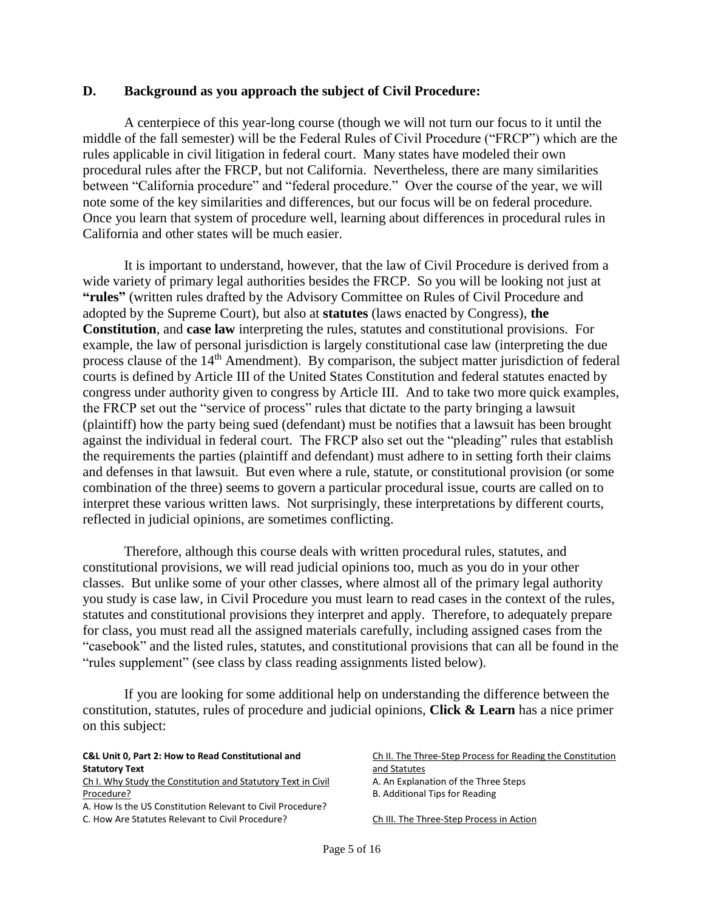#### **D. Background as you approach the subject of Civil Procedure:**

A centerpiece of this year-long course (though we will not turn our focus to it until the middle of the fall semester) will be the Federal Rules of Civil Procedure ("FRCP") which are the rules applicable in civil litigation in federal court. Many states have modeled their own procedural rules after the FRCP, but not California. Nevertheless, there are many similarities between "California procedure" and "federal procedure." Over the course of the year, we will note some of the key similarities and differences, but our focus will be on federal procedure. Once you learn that system of procedure well, learning about differences in procedural rules in California and other states will be much easier.

It is important to understand, however, that the law of Civil Procedure is derived from a wide variety of primary legal authorities besides the FRCP. So you will be looking not just at **"rules"** (written rules drafted by the Advisory Committee on Rules of Civil Procedure and adopted by the Supreme Court), but also at **statutes** (laws enacted by Congress), **the Constitution**, and **case law** interpreting the rules, statutes and constitutional provisions. For example, the law of personal jurisdiction is largely constitutional case law (interpreting the due process clause of the 14<sup>th</sup> Amendment). By comparison, the subject matter jurisdiction of federal courts is defined by Article III of the United States Constitution and federal statutes enacted by congress under authority given to congress by Article III. And to take two more quick examples, the FRCP set out the "service of process" rules that dictate to the party bringing a lawsuit (plaintiff) how the party being sued (defendant) must be notifies that a lawsuit has been brought against the individual in federal court. The FRCP also set out the "pleading" rules that establish the requirements the parties (plaintiff and defendant) must adhere to in setting forth their claims and defenses in that lawsuit. But even where a rule, statute, or constitutional provision (or some combination of the three) seems to govern a particular procedural issue, courts are called on to interpret these various written laws. Not surprisingly, these interpretations by different courts, reflected in judicial opinions, are sometimes conflicting.

Therefore, although this course deals with written procedural rules, statutes, and constitutional provisions, we will read judicial opinions too, much as you do in your other classes. But unlike some of your other classes, where almost all of the primary legal authority you study is case law, in Civil Procedure you must learn to read cases in the context of the rules, statutes and constitutional provisions they interpret and apply. Therefore, to adequately prepare for class, you must read all the assigned materials carefully, including assigned cases from the "casebook" and the listed rules, statutes, and constitutional provisions that can all be found in the "rules supplement" (see class by class reading assignments listed below).

If you are looking for some additional help on understanding the difference between the constitution, statutes, rules of procedure and judicial opinions, **Click & Learn** has a nice primer on this subject:

| <b>C&amp;L Unit 0, Part 2: How to Read Constitutional and</b> | Ch II. The Three-Step Process for Reading the Constitution |
|---------------------------------------------------------------|------------------------------------------------------------|
| <b>Statutory Text</b>                                         | and Statutes                                               |
| Ch I. Why Study the Constitution and Statutory Text in Civil  | A. An Explanation of the Three Steps                       |
| Procedure?                                                    | B. Additional Tips for Reading                             |
| A. How Is the US Constitution Relevant to Civil Procedure?    |                                                            |
| C. How Are Statutes Relevant to Civil Procedure?              | Ch III. The Three-Step Process in Action                   |
|                                                               |                                                            |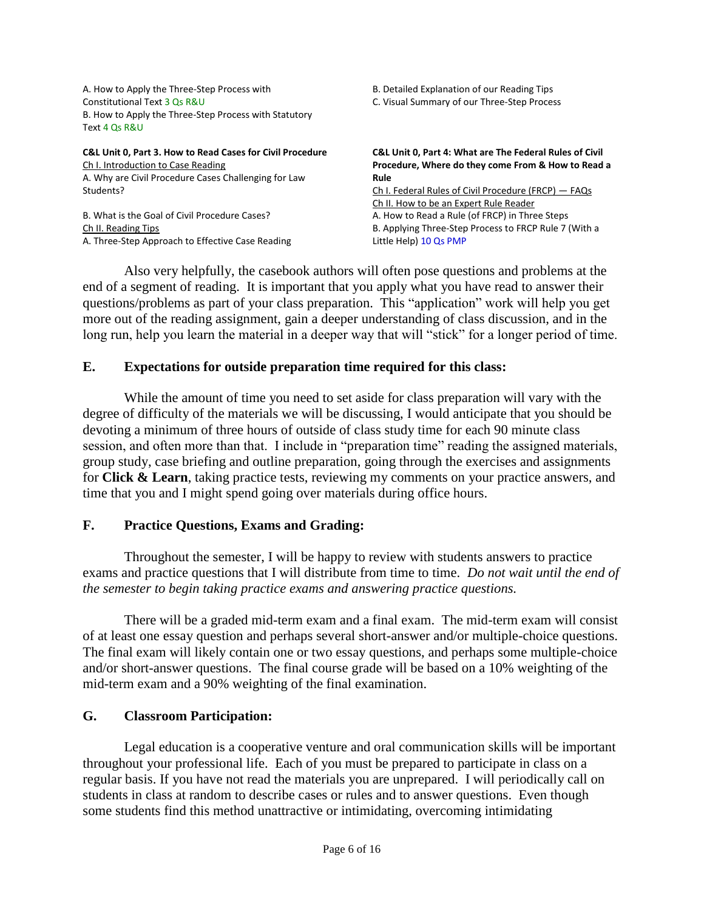| A. How to Apply the Three-Step Process with               | B. Detailed Explanation of our Reading Tips                        |  |
|-----------------------------------------------------------|--------------------------------------------------------------------|--|
| Constitutional Text 3 Os R&U                              | C. Visual Summary of our Three-Step Process                        |  |
| B. How to Apply the Three-Step Process with Statutory     |                                                                    |  |
| Text 4 Os R&U                                             |                                                                    |  |
| C&L Unit 0, Part 3. How to Read Cases for Civil Procedure | <b>C&amp;L Unit 0, Part 4: What are The Federal Rules of Civil</b> |  |
| Ch I. Introduction to Case Reading                        | Procedure, Where do they come From & How to Read a                 |  |
| A. Why are Civil Procedure Cases Challenging for Law      | Rule                                                               |  |
| Students?                                                 | Ch I. Federal Rules of Civil Procedure (FRCP) — FAQs               |  |
|                                                           | Ch II. How to be an Expert Rule Reader                             |  |
| B. What is the Goal of Civil Procedure Cases?             | A. How to Read a Rule (of FRCP) in Three Steps                     |  |
| Ch II. Reading Tips                                       | B. Applying Three-Step Process to FRCP Rule 7 (With a              |  |
| A. Three-Step Approach to Effective Case Reading          | Little Help) 10 Qs PMP                                             |  |

Also very helpfully, the casebook authors will often pose questions and problems at the end of a segment of reading. It is important that you apply what you have read to answer their questions/problems as part of your class preparation. This "application" work will help you get more out of the reading assignment, gain a deeper understanding of class discussion, and in the long run, help you learn the material in a deeper way that will "stick" for a longer period of time.

#### **E. Expectations for outside preparation time required for this class:**

While the amount of time you need to set aside for class preparation will vary with the degree of difficulty of the materials we will be discussing, I would anticipate that you should be devoting a minimum of three hours of outside of class study time for each 90 minute class session, and often more than that. I include in "preparation time" reading the assigned materials, group study, case briefing and outline preparation, going through the exercises and assignments for **Click & Learn**, taking practice tests, reviewing my comments on your practice answers, and time that you and I might spend going over materials during office hours.

### **F. Practice Questions, Exams and Grading:**

Throughout the semester, I will be happy to review with students answers to practice exams and practice questions that I will distribute from time to time. *Do not wait until the end of the semester to begin taking practice exams and answering practice questions.*

There will be a graded mid-term exam and a final exam. The mid-term exam will consist of at least one essay question and perhaps several short-answer and/or multiple-choice questions. The final exam will likely contain one or two essay questions, and perhaps some multiple-choice and/or short-answer questions. The final course grade will be based on a 10% weighting of the mid-term exam and a 90% weighting of the final examination.

#### **G. Classroom Participation:**

Legal education is a cooperative venture and oral communication skills will be important throughout your professional life. Each of you must be prepared to participate in class on a regular basis. If you have not read the materials you are unprepared. I will periodically call on students in class at random to describe cases or rules and to answer questions. Even though some students find this method unattractive or intimidating, overcoming intimidating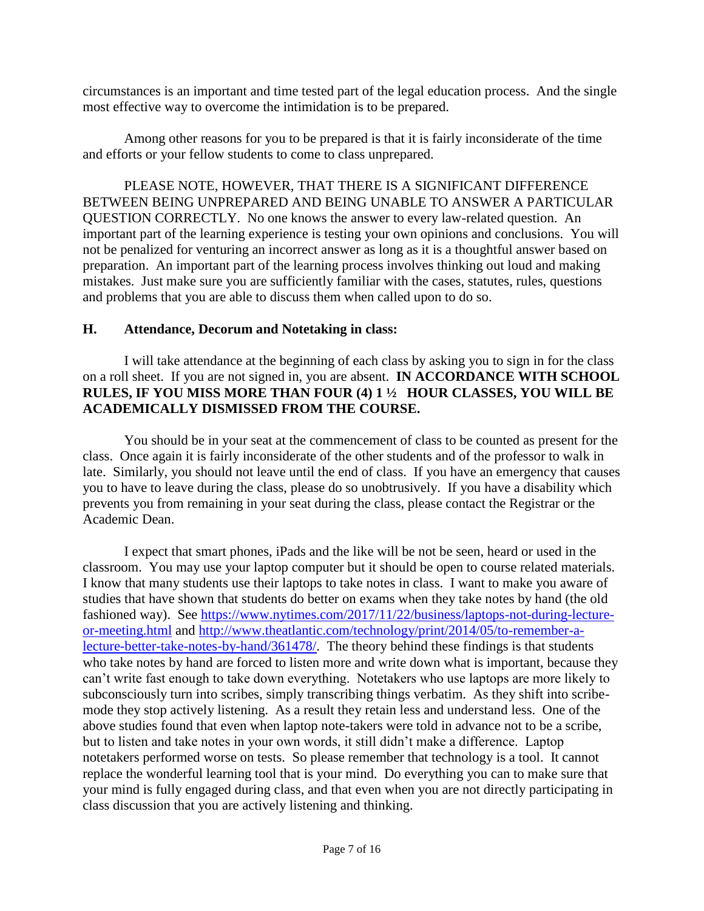circumstances is an important and time tested part of the legal education process. And the single most effective way to overcome the intimidation is to be prepared.

Among other reasons for you to be prepared is that it is fairly inconsiderate of the time and efforts or your fellow students to come to class unprepared.

PLEASE NOTE, HOWEVER, THAT THERE IS A SIGNIFICANT DIFFERENCE BETWEEN BEING UNPREPARED AND BEING UNABLE TO ANSWER A PARTICULAR QUESTION CORRECTLY. No one knows the answer to every law-related question. An important part of the learning experience is testing your own opinions and conclusions. You will not be penalized for venturing an incorrect answer as long as it is a thoughtful answer based on preparation. An important part of the learning process involves thinking out loud and making mistakes. Just make sure you are sufficiently familiar with the cases, statutes, rules, questions and problems that you are able to discuss them when called upon to do so.

### **H. Attendance, Decorum and Notetaking in class:**

I will take attendance at the beginning of each class by asking you to sign in for the class on a roll sheet. If you are not signed in, you are absent. **IN ACCORDANCE WITH SCHOOL RULES, IF YOU MISS MORE THAN FOUR (4) 1 ½ HOUR CLASSES, YOU WILL BE ACADEMICALLY DISMISSED FROM THE COURSE.**

You should be in your seat at the commencement of class to be counted as present for the class. Once again it is fairly inconsiderate of the other students and of the professor to walk in late. Similarly, you should not leave until the end of class. If you have an emergency that causes you to have to leave during the class, please do so unobtrusively. If you have a disability which prevents you from remaining in your seat during the class, please contact the Registrar or the Academic Dean.

I expect that smart phones, iPads and the like will be not be seen, heard or used in the classroom. You may use your laptop computer but it should be open to course related materials. I know that many students use their laptops to take notes in class. I want to make you aware of studies that have shown that students do better on exams when they take notes by hand (the old fashioned way). See [https://www.nytimes.com/2017/11/22/business/laptops-not-during-lecture](https://www.nytimes.com/2017/11/22/business/laptops-not-during-lecture-or-meeting.html)[or-meeting.html](https://www.nytimes.com/2017/11/22/business/laptops-not-during-lecture-or-meeting.html) and [http://www.theatlantic.com/technology/print/2014/05/to-remember-a](http://www.theatlantic.com/technology/print/2014/05/to-remember-a-lecture-better-take-notes-by-hand/361478/)[lecture-better-take-notes-by-hand/361478/.](http://www.theatlantic.com/technology/print/2014/05/to-remember-a-lecture-better-take-notes-by-hand/361478/) The theory behind these findings is that students who take notes by hand are forced to listen more and write down what is important, because they can't write fast enough to take down everything. Notetakers who use laptops are more likely to subconsciously turn into scribes, simply transcribing things verbatim. As they shift into scribemode they stop actively listening. As a result they retain less and understand less. One of the above studies found that even when laptop note-takers were told in advance not to be a scribe, but to listen and take notes in your own words, it still didn't make a difference. Laptop notetakers performed worse on tests. So please remember that technology is a tool. It cannot replace the wonderful learning tool that is your mind. Do everything you can to make sure that your mind is fully engaged during class, and that even when you are not directly participating in class discussion that you are actively listening and thinking.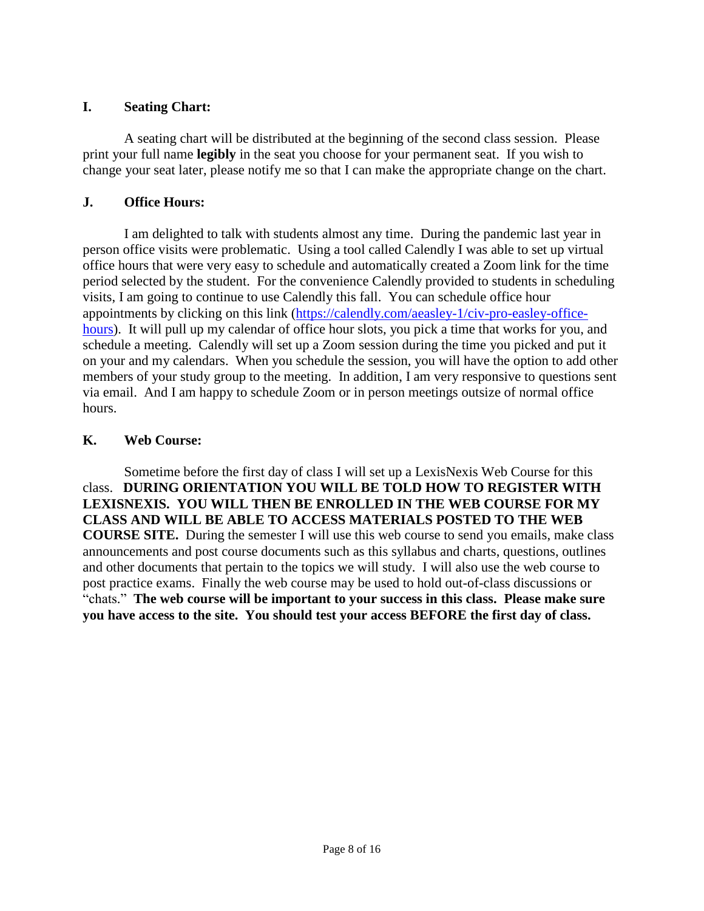### **I. Seating Chart:**

A seating chart will be distributed at the beginning of the second class session. Please print your full name **legibly** in the seat you choose for your permanent seat. If you wish to change your seat later, please notify me so that I can make the appropriate change on the chart.

### **J. Office Hours:**

I am delighted to talk with students almost any time. During the pandemic last year in person office visits were problematic. Using a tool called Calendly I was able to set up virtual office hours that were very easy to schedule and automatically created a Zoom link for the time period selected by the student. For the convenience Calendly provided to students in scheduling visits, I am going to continue to use Calendly this fall. You can schedule office hour appointments by clicking on this link [\(https://calendly.com/aeasley-1/civ-pro-easley-office](https://calendly.com/aeasley-1/civ-pro-easley-office-hours)[hours\)](https://calendly.com/aeasley-1/civ-pro-easley-office-hours). It will pull up my calendar of office hour slots, you pick a time that works for you, and schedule a meeting. Calendly will set up a Zoom session during the time you picked and put it on your and my calendars. When you schedule the session, you will have the option to add other members of your study group to the meeting. In addition, I am very responsive to questions sent via email. And I am happy to schedule Zoom or in person meetings outsize of normal office hours.

### **K. Web Course:**

Sometime before the first day of class I will set up a LexisNexis Web Course for this class. **DURING ORIENTATION YOU WILL BE TOLD HOW TO REGISTER WITH LEXISNEXIS. YOU WILL THEN BE ENROLLED IN THE WEB COURSE FOR MY CLASS AND WILL BE ABLE TO ACCESS MATERIALS POSTED TO THE WEB COURSE SITE.** During the semester I will use this web course to send you emails, make class announcements and post course documents such as this syllabus and charts, questions, outlines and other documents that pertain to the topics we will study. I will also use the web course to post practice exams. Finally the web course may be used to hold out-of-class discussions or "chats." **The web course will be important to your success in this class. Please make sure you have access to the site. You should test your access BEFORE the first day of class.**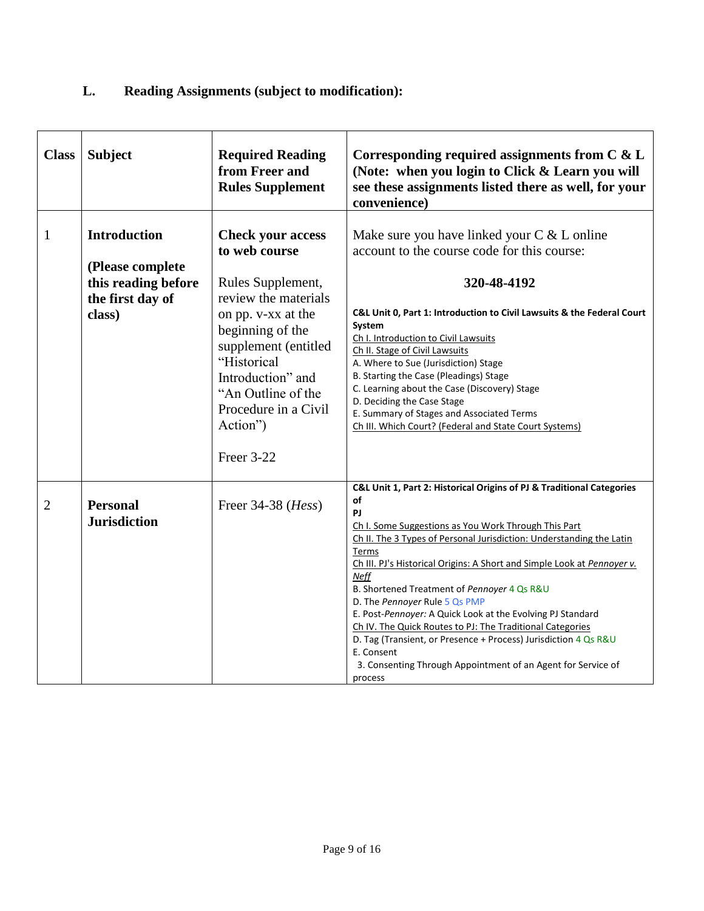# **L. Reading Assignments (subject to modification):**

| <b>Class</b> | <b>Subject</b>                                                                               | <b>Required Reading</b><br>from Freer and<br><b>Rules Supplement</b>                                                                                                                                                                                                 | Corresponding required assignments from $C & L$<br>(Note: when you login to Click & Learn you will<br>see these assignments listed there as well, for your<br>convenience)                                                                                                                                                                                                                                                                                                                                                                                                                                                                                                                  |
|--------------|----------------------------------------------------------------------------------------------|----------------------------------------------------------------------------------------------------------------------------------------------------------------------------------------------------------------------------------------------------------------------|---------------------------------------------------------------------------------------------------------------------------------------------------------------------------------------------------------------------------------------------------------------------------------------------------------------------------------------------------------------------------------------------------------------------------------------------------------------------------------------------------------------------------------------------------------------------------------------------------------------------------------------------------------------------------------------------|
| $\mathbf{1}$ | <b>Introduction</b><br>(Please complete<br>this reading before<br>the first day of<br>class) | <b>Check your access</b><br>to web course<br>Rules Supplement,<br>review the materials<br>on pp. v-xx at the<br>beginning of the<br>supplement (entitled<br>"Historical<br>Introduction" and<br>"An Outline of the<br>Procedure in a Civil<br>Action")<br>Freer 3-22 | Make sure you have linked your C & L online<br>account to the course code for this course:<br>320-48-4192<br>C&L Unit 0, Part 1: Introduction to Civil Lawsuits & the Federal Court<br>System<br>Ch I. Introduction to Civil Lawsuits<br>Ch II. Stage of Civil Lawsuits<br>A. Where to Sue (Jurisdiction) Stage<br>B. Starting the Case (Pleadings) Stage<br>C. Learning about the Case (Discovery) Stage<br>D. Deciding the Case Stage<br>E. Summary of Stages and Associated Terms<br>Ch III. Which Court? (Federal and State Court Systems)                                                                                                                                              |
| 2            | <b>Personal</b><br><b>Jurisdiction</b>                                                       | Freer 34-38 (Hess)                                                                                                                                                                                                                                                   | C&L Unit 1, Part 2: Historical Origins of PJ & Traditional Categories<br>οf<br>PJ<br>Ch I. Some Suggestions as You Work Through This Part<br>Ch II. The 3 Types of Personal Jurisdiction: Understanding the Latin<br>Terms<br>Ch III. PJ's Historical Origins: A Short and Simple Look at Pennoyer v.<br><b>Neff</b><br>B. Shortened Treatment of Pennoyer 4 Qs R&U<br>D. The Pennoyer Rule 5 Qs PMP<br>E. Post-Pennoyer: A Quick Look at the Evolving PJ Standard<br>Ch IV. The Quick Routes to PJ: The Traditional Categories<br>D. Tag (Transient, or Presence + Process) Jurisdiction 4 Qs R&U<br>E. Consent<br>3. Consenting Through Appointment of an Agent for Service of<br>process |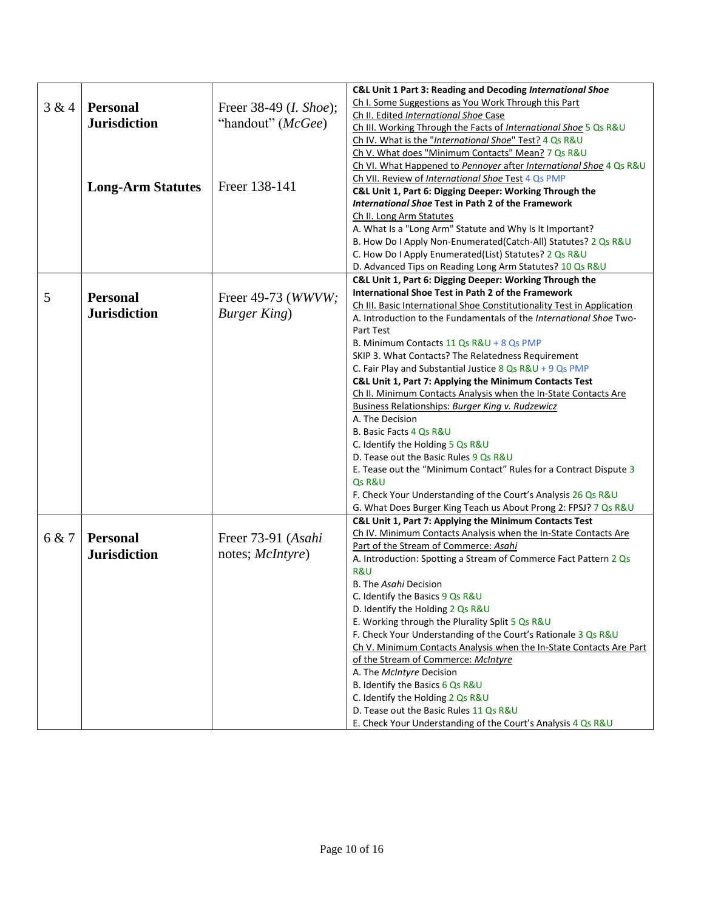|       |                          |                                 | C&L Unit 1 Part 3: Reading and Decoding International Shoe                                               |
|-------|--------------------------|---------------------------------|----------------------------------------------------------------------------------------------------------|
| 3 & 4 | <b>Personal</b>          |                                 | Ch I. Some Suggestions as You Work Through this Part                                                     |
|       |                          | Freer 38-49 ( <i>I. Shoe</i> ); | Ch II. Edited International Shoe Case                                                                    |
|       | <b>Jurisdiction</b>      | "handout" (McGee)               | Ch III. Working Through the Facts of International Shoe 5 Qs R&U                                         |
|       |                          |                                 | Ch IV. What is the "International Shoe" Test? 4 Qs R&U                                                   |
|       |                          |                                 | Ch V. What does "Minimum Contacts" Mean? 7 Qs R&U                                                        |
|       |                          |                                 | Ch VI. What Happened to Pennoyer after International Shoe 4 Qs R&U                                       |
|       |                          |                                 | Ch VII. Review of International Shoe Test 4 Qs PMP                                                       |
|       | <b>Long-Arm Statutes</b> | Freer 138-141                   | C&L Unit 1, Part 6: Digging Deeper: Working Through the                                                  |
|       |                          |                                 | International Shoe Test in Path 2 of the Framework                                                       |
|       |                          |                                 | Ch II. Long Arm Statutes                                                                                 |
|       |                          |                                 | A. What Is a "Long Arm" Statute and Why Is It Important?                                                 |
|       |                          |                                 | B. How Do I Apply Non-Enumerated(Catch-All) Statutes? 2 Qs R&U                                           |
|       |                          |                                 | C. How Do I Apply Enumerated (List) Statutes? 2 Qs R&U                                                   |
|       |                          |                                 | D. Advanced Tips on Reading Long Arm Statutes? 10 Qs R&U                                                 |
|       |                          |                                 | C&L Unit 1, Part 6: Digging Deeper: Working Through the                                                  |
| 5     | <b>Personal</b>          | Freer 49-73 (WWVW;              | International Shoe Test in Path 2 of the Framework                                                       |
|       | <b>Jurisdiction</b>      |                                 | Ch III. Basic International Shoe Constitutionality Test in Application                                   |
|       |                          | <b>Burger King</b> )            | A. Introduction to the Fundamentals of the International Shoe Two-                                       |
|       |                          |                                 | Part Test                                                                                                |
|       |                          |                                 | B. Minimum Contacts 11 Qs R&U + 8 Qs PMP                                                                 |
|       |                          |                                 | SKIP 3. What Contacts? The Relatedness Requirement                                                       |
|       |                          |                                 | C. Fair Play and Substantial Justice $8$ Qs R&U + 9 Qs PMP                                               |
|       |                          |                                 | C&L Unit 1, Part 7: Applying the Minimum Contacts Test                                                   |
|       |                          |                                 | Ch II. Minimum Contacts Analysis when the In-State Contacts Are                                          |
|       |                          |                                 | Business Relationships: Burger King v. Rudzewicz                                                         |
|       |                          |                                 | A. The Decision                                                                                          |
|       |                          |                                 | B. Basic Facts 4 Qs R&U                                                                                  |
|       |                          |                                 | C. Identify the Holding 5 Qs R&U                                                                         |
|       |                          |                                 | D. Tease out the Basic Rules 9 Qs R&U                                                                    |
|       |                          |                                 | E. Tease out the "Minimum Contact" Rules for a Contract Dispute 3                                        |
|       |                          |                                 | Qs R&U                                                                                                   |
|       |                          |                                 | F. Check Your Understanding of the Court's Analysis 26 Qs R&U                                            |
|       |                          |                                 | G. What Does Burger King Teach us About Prong 2: FPSJ? 7 Qs R&U                                          |
|       |                          |                                 | C&L Unit 1, Part 7: Applying the Minimum Contacts Test                                                   |
| 6 & 7 | <b>Personal</b>          | Freer 73-91 (Asahi              | Ch IV. Minimum Contacts Analysis when the In-State Contacts Are<br>Part of the Stream of Commerce: Asahi |
|       | <b>Jurisdiction</b>      | notes; McIntyre)                | A. Introduction: Spotting a Stream of Commerce Fact Pattern 2 Qs                                         |
|       |                          |                                 | R&U                                                                                                      |
|       |                          |                                 | B. The Asahi Decision                                                                                    |
|       |                          |                                 | C. Identify the Basics 9 Qs R&U                                                                          |
|       |                          |                                 | D. Identify the Holding 2 Qs R&U                                                                         |
|       |                          |                                 | E. Working through the Plurality Split 5 Qs R&U                                                          |
|       |                          |                                 | F. Check Your Understanding of the Court's Rationale 3 Qs R&U                                            |
|       |                          |                                 | Ch V. Minimum Contacts Analysis when the In-State Contacts Are Part                                      |
|       |                          |                                 | of the Stream of Commerce: McIntyre                                                                      |
|       |                          |                                 | A. The McIntyre Decision                                                                                 |
|       |                          |                                 | B. Identify the Basics 6 Qs R&U                                                                          |
|       |                          |                                 | C. Identify the Holding 2 Qs R&U                                                                         |
|       |                          |                                 | D. Tease out the Basic Rules 11 Qs R&U                                                                   |
|       |                          |                                 | E. Check Your Understanding of the Court's Analysis 4 Qs R&U                                             |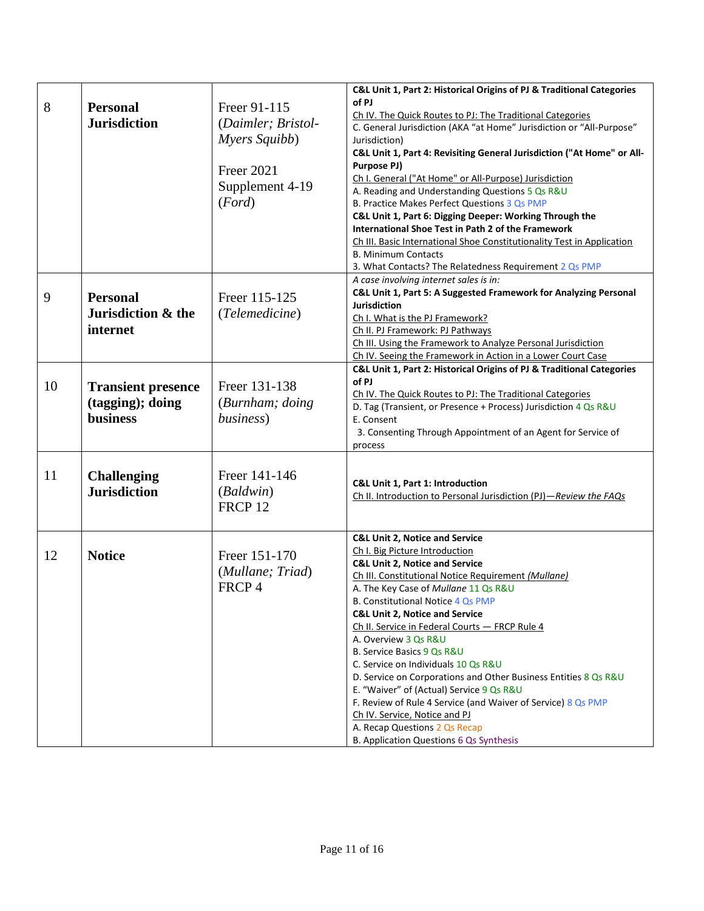|    |                           |                    | C&L Unit 1, Part 2: Historical Origins of PJ & Traditional Categories  |
|----|---------------------------|--------------------|------------------------------------------------------------------------|
|    |                           |                    | of PJ                                                                  |
| 8  | <b>Personal</b>           | Freer 91-115       | Ch IV. The Quick Routes to PJ: The Traditional Categories              |
|    | <b>Jurisdiction</b>       | (Daimler; Bristol- | C. General Jurisdiction (AKA "at Home" Jurisdiction or "All-Purpose"   |
|    |                           | Myers Squibb)      | Jurisdiction)                                                          |
|    |                           |                    | C&L Unit 1, Part 4: Revisiting General Jurisdiction ("At Home" or All- |
|    |                           |                    | Purpose PJ)                                                            |
|    |                           | <b>Freer 2021</b>  | Ch I. General ("At Home" or All-Purpose) Jurisdiction                  |
|    |                           | Supplement 4-19    | A. Reading and Understanding Questions 5 Qs R&U                        |
|    |                           | (Ford)             | B. Practice Makes Perfect Questions 3 Qs PMP                           |
|    |                           |                    | C&L Unit 1, Part 6: Digging Deeper: Working Through the                |
|    |                           |                    | International Shoe Test in Path 2 of the Framework                     |
|    |                           |                    | Ch III. Basic International Shoe Constitutionality Test in Application |
|    |                           |                    | <b>B. Minimum Contacts</b>                                             |
|    |                           |                    | 3. What Contacts? The Relatedness Requirement 2 Qs PMP                 |
|    |                           |                    | A case involving internet sales is in:                                 |
|    |                           |                    | C&L Unit 1, Part 5: A Suggested Framework for Analyzing Personal       |
| 9  | <b>Personal</b>           | Freer 115-125      | <b>Jurisdiction</b>                                                    |
|    | Jurisdiction & the        | (Telemedicine)     | Ch I. What is the PJ Framework?                                        |
|    | internet                  |                    | Ch II. PJ Framework: PJ Pathways                                       |
|    |                           |                    | Ch III. Using the Framework to Analyze Personal Jurisdiction           |
|    |                           |                    | Ch IV. Seeing the Framework in Action in a Lower Court Case            |
|    |                           |                    | C&L Unit 1, Part 2: Historical Origins of PJ & Traditional Categories  |
|    |                           |                    | of PJ                                                                  |
| 10 | <b>Transient presence</b> | Freer 131-138      | Ch IV. The Quick Routes to PJ: The Traditional Categories              |
|    | (tagging); doing          | (Burnham; doing)   | D. Tag (Transient, or Presence + Process) Jurisdiction 4 Qs R&U        |
|    | <b>business</b>           | business)          | E. Consent                                                             |
|    |                           |                    | 3. Consenting Through Appointment of an Agent for Service of           |
|    |                           |                    | process                                                                |
|    |                           |                    |                                                                        |
| 11 |                           | Freer 141-146      |                                                                        |
|    | <b>Challenging</b>        |                    | C&L Unit 1, Part 1: Introduction                                       |
|    | <b>Jurisdiction</b>       | (Baldwin)          | Ch II. Introduction to Personal Jurisdiction (PJ)-Review the FAQs      |
|    |                           | FRCP <sub>12</sub> |                                                                        |
|    |                           |                    |                                                                        |
|    |                           |                    | <b>C&amp;L Unit 2, Notice and Service</b>                              |
|    |                           |                    | Ch I. Big Picture Introduction                                         |
| 12 | <b>Notice</b>             | Freer 151-170      | <b>C&amp;L Unit 2, Notice and Service</b>                              |
|    |                           | (Mullane; Triad)   | Ch III. Constitutional Notice Requirement (Mullane)                    |
|    |                           | FRCP 4             | A. The Key Case of Mullane 11 Qs R&U                                   |
|    |                           |                    | B. Constitutional Notice 4 Qs PMP                                      |
|    |                           |                    | <b>C&amp;L Unit 2, Notice and Service</b>                              |
|    |                           |                    | Ch II. Service in Federal Courts - FRCP Rule 4                         |
|    |                           |                    | A. Overview 3 Qs R&U                                                   |
|    |                           |                    | B. Service Basics 9 Qs R&U                                             |
|    |                           |                    | C. Service on Individuals 10 Qs R&U                                    |
|    |                           |                    | D. Service on Corporations and Other Business Entities 8 Qs R&U        |
|    |                           |                    | E. "Waiver" of (Actual) Service 9 Qs R&U                               |
|    |                           |                    | F. Review of Rule 4 Service (and Waiver of Service) 8 Qs PMP           |
|    |                           |                    | Ch IV. Service, Notice and PJ                                          |
|    |                           |                    | A. Recap Questions 2 Qs Recap                                          |
|    |                           |                    | B. Application Questions 6 Qs Synthesis                                |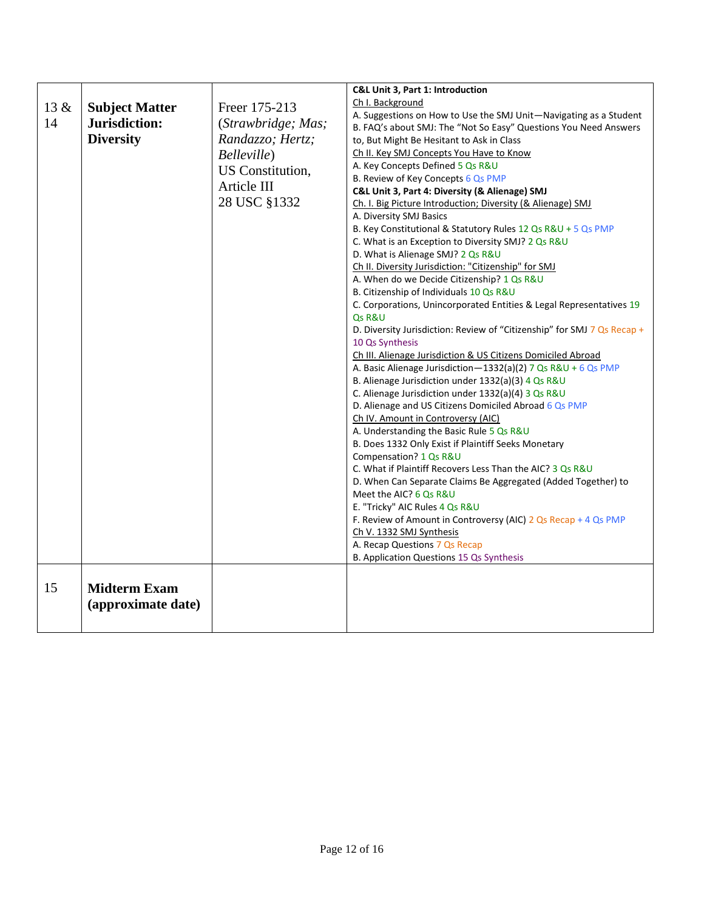|      |                                           |                    | C&L Unit 3, Part 1: Introduction                                                             |
|------|-------------------------------------------|--------------------|----------------------------------------------------------------------------------------------|
| 13 & | <b>Subject Matter</b>                     | Freer 175-213      | Ch I. Background                                                                             |
|      |                                           |                    | A. Suggestions on How to Use the SMJ Unit-Navigating as a Student                            |
| 14   | Jurisdiction:                             | (Strawbridge; Mas; | B. FAQ's about SMJ: The "Not So Easy" Questions You Need Answers                             |
|      | <b>Diversity</b>                          | Randazzo; Hertz;   | to, But Might Be Hesitant to Ask in Class                                                    |
|      |                                           | Belleville)        | Ch II. Key SMJ Concepts You Have to Know                                                     |
|      |                                           | US Constitution,   | A. Key Concepts Defined 5 Qs R&U                                                             |
|      |                                           |                    | B. Review of Key Concepts 6 Qs PMP                                                           |
|      |                                           | Article III        | C&L Unit 3, Part 4: Diversity (& Alienage) SMJ                                               |
|      |                                           | 28 USC §1332       | Ch. I. Big Picture Introduction; Diversity (& Alienage) SMJ                                  |
|      |                                           |                    | A. Diversity SMJ Basics                                                                      |
|      |                                           |                    | B. Key Constitutional & Statutory Rules 12 Qs R&U + 5 Qs PMP                                 |
|      |                                           |                    | C. What is an Exception to Diversity SMJ? 2 Qs R&U                                           |
|      |                                           |                    | D. What is Alienage SMJ? 2 Qs R&U                                                            |
|      |                                           |                    | Ch II. Diversity Jurisdiction: "Citizenship" for SMJ                                         |
|      |                                           |                    | A. When do we Decide Citizenship? 1 Qs R&U                                                   |
|      |                                           |                    | B. Citizenship of Individuals 10 Qs R&U                                                      |
|      |                                           |                    | C. Corporations, Unincorporated Entities & Legal Representatives 19                          |
|      |                                           |                    | Qs R&U                                                                                       |
|      |                                           |                    | D. Diversity Jurisdiction: Review of "Citizenship" for SMJ 7 Qs Recap +                      |
|      |                                           |                    | 10 Qs Synthesis                                                                              |
|      |                                           |                    | Ch III. Alienage Jurisdiction & US Citizens Domiciled Abroad                                 |
|      |                                           |                    | A. Basic Alienage Jurisdiction-1332(a)(2) 7 Qs R&U + 6 Qs PMP                                |
|      |                                           |                    | B. Alienage Jurisdiction under 1332(a)(3) 4 Qs R&U                                           |
|      |                                           |                    | C. Alienage Jurisdiction under 1332(a)(4) 3 Qs R&U                                           |
|      |                                           |                    | D. Alienage and US Citizens Domiciled Abroad 6 Qs PMP                                        |
|      |                                           |                    | Ch IV. Amount in Controversy (AIC)                                                           |
|      |                                           |                    | A. Understanding the Basic Rule 5 Qs R&U                                                     |
|      |                                           |                    | B. Does 1332 Only Exist if Plaintiff Seeks Monetary                                          |
|      |                                           |                    | Compensation? 1 Qs R&U                                                                       |
|      |                                           |                    | C. What if Plaintiff Recovers Less Than the AIC? 3 Qs R&U                                    |
|      |                                           |                    | D. When Can Separate Claims Be Aggregated (Added Together) to                                |
|      |                                           |                    | Meet the AIC? 6 Qs R&U                                                                       |
|      |                                           |                    | E. "Tricky" AIC Rules 4 Qs R&U                                                               |
|      |                                           |                    | F. Review of Amount in Controversy (AIC) $2 Qs$ Recap + 4 Qs PMP<br>Ch V. 1332 SMJ Synthesis |
|      |                                           |                    | A. Recap Questions 7 Qs Recap                                                                |
|      |                                           |                    | B. Application Questions 15 Qs Synthesis                                                     |
|      |                                           |                    |                                                                                              |
| 15   | <b>Midterm Exam</b><br>(approximate date) |                    |                                                                                              |
|      |                                           |                    |                                                                                              |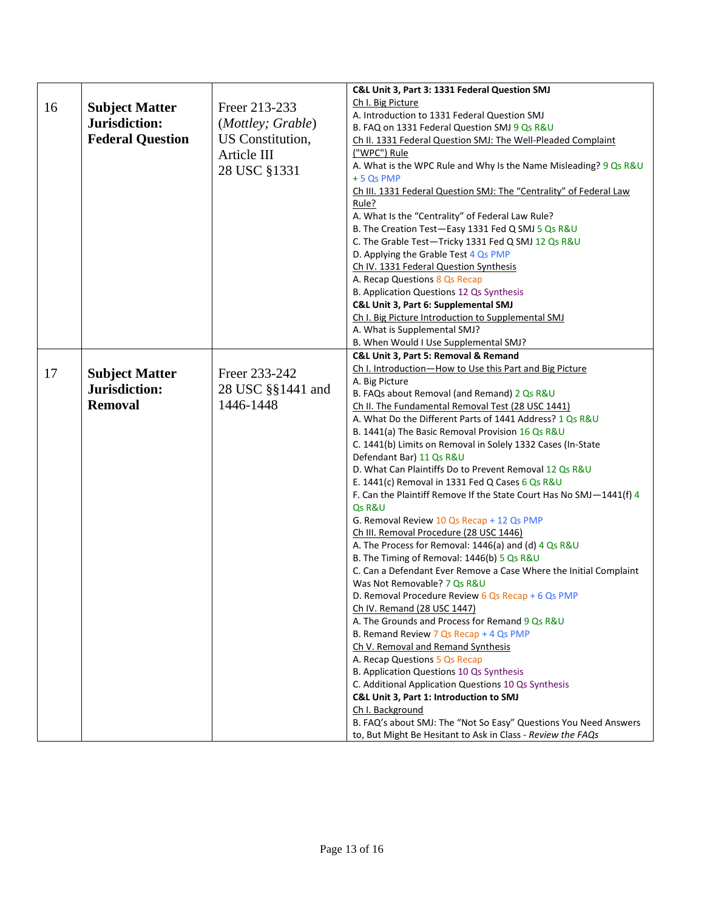|    |                         |                   | C&L Unit 3, Part 3: 1331 Federal Question SMJ                                     |
|----|-------------------------|-------------------|-----------------------------------------------------------------------------------|
|    |                         |                   | Ch I. Big Picture                                                                 |
| 16 | <b>Subject Matter</b>   | Freer 213-233     | A. Introduction to 1331 Federal Question SMJ                                      |
|    | Jurisdiction:           | (Mottley; Grable) | B. FAQ on 1331 Federal Question SMJ 9 Qs R&U                                      |
|    | <b>Federal Question</b> | US Constitution,  | Ch II. 1331 Federal Question SMJ: The Well-Pleaded Complaint                      |
|    |                         | Article III       | ("WPC") Rule                                                                      |
|    |                         |                   | A. What is the WPC Rule and Why Is the Name Misleading? 9 Qs R&U                  |
|    |                         | 28 USC §1331      | $+5$ Qs PMP                                                                       |
|    |                         |                   | Ch III. 1331 Federal Question SMJ: The "Centrality" of Federal Law                |
|    |                         |                   | Rule?                                                                             |
|    |                         |                   | A. What Is the "Centrality" of Federal Law Rule?                                  |
|    |                         |                   | B. The Creation Test-Easy 1331 Fed Q SMJ 5 Qs R&U                                 |
|    |                         |                   | C. The Grable Test-Tricky 1331 Fed Q SMJ 12 Qs R&U                                |
|    |                         |                   | D. Applying the Grable Test 4 Qs PMP                                              |
|    |                         |                   | Ch IV. 1331 Federal Question Synthesis                                            |
|    |                         |                   | A. Recap Questions 8 Qs Recap                                                     |
|    |                         |                   | B. Application Questions 12 Qs Synthesis                                          |
|    |                         |                   | C&L Unit 3, Part 6: Supplemental SMJ                                              |
|    |                         |                   | Ch I. Big Picture Introduction to Supplemental SMJ                                |
|    |                         |                   | A. What is Supplemental SMJ?                                                      |
|    |                         |                   | B. When Would I Use Supplemental SMJ?                                             |
|    |                         |                   | C&L Unit 3, Part 5: Removal & Remand                                              |
| 17 | <b>Subject Matter</b>   | Freer 233-242     | Ch I. Introduction-How to Use this Part and Big Picture                           |
|    | Jurisdiction:           |                   | A. Big Picture                                                                    |
|    |                         | 28 USC §§1441 and | B. FAQs about Removal (and Remand) 2 Qs R&U                                       |
|    | <b>Removal</b>          | 1446-1448         | Ch II. The Fundamental Removal Test (28 USC 1441)                                 |
|    |                         |                   | A. What Do the Different Parts of 1441 Address? 1 Qs R&U                          |
|    |                         |                   | B. 1441(a) The Basic Removal Provision 16 Qs R&U                                  |
|    |                         |                   | C. 1441(b) Limits on Removal in Solely 1332 Cases (In-State                       |
|    |                         |                   | Defendant Bar) 11 Qs R&U                                                          |
|    |                         |                   | D. What Can Plaintiffs Do to Prevent Removal 12 Qs R&U                            |
|    |                         |                   | E. 1441(c) Removal in 1331 Fed Q Cases 6 Qs R&U                                   |
|    |                         |                   | F. Can the Plaintiff Remove If the State Court Has No SMJ-1441(f) 4               |
|    |                         |                   | Qs R&U                                                                            |
|    |                         |                   | G. Removal Review 10 Qs Recap + 12 Qs PMP                                         |
|    |                         |                   | Ch III. Removal Procedure (28 USC 1446)                                           |
|    |                         |                   | A. The Process for Removal: 1446(a) and (d) 4 Qs R&U                              |
|    |                         |                   | B. The Timing of Removal: 1446(b) 5 Qs R&U                                        |
|    |                         |                   | C. Can a Defendant Ever Remove a Case Where the Initial Complaint                 |
|    |                         |                   | Was Not Removable? 7 Qs R&U                                                       |
|    |                         |                   | D. Removal Procedure Review $6Qs$ Recap + 6 Qs PMP<br>Ch IV. Remand (28 USC 1447) |
|    |                         |                   | A. The Grounds and Process for Remand 9 Qs R&U                                    |
|    |                         |                   | B. Remand Review 7 Qs Recap + 4 Qs PMP                                            |
|    |                         |                   | Ch V. Removal and Remand Synthesis                                                |
|    |                         |                   | A. Recap Questions 5 Qs Recap                                                     |
|    |                         |                   | B. Application Questions 10 Qs Synthesis                                          |
|    |                         |                   | C. Additional Application Questions 10 Qs Synthesis                               |
|    |                         |                   | C&L Unit 3, Part 1: Introduction to SMJ                                           |
|    |                         |                   | Ch I. Background                                                                  |
|    |                         |                   | B. FAQ's about SMJ: The "Not So Easy" Questions You Need Answers                  |
|    |                         |                   | to, But Might Be Hesitant to Ask in Class - Review the FAQs                       |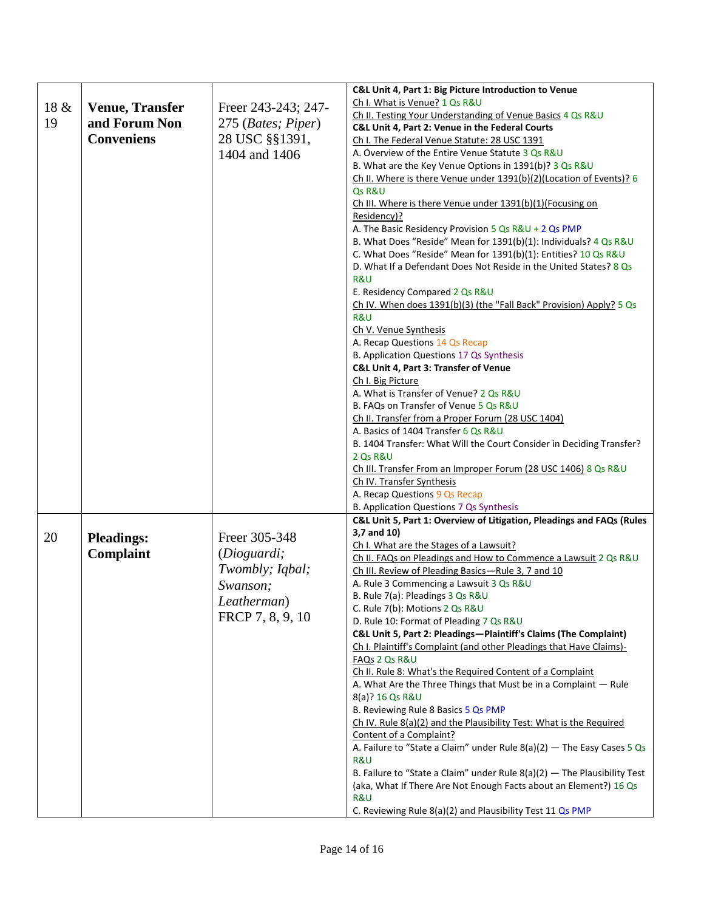|      |                        |                     | C&L Unit 4, Part 1: Big Picture Introduction to Venue                                                                 |
|------|------------------------|---------------------|-----------------------------------------------------------------------------------------------------------------------|
| 18 & |                        | Freer 243-243; 247- | Ch I. What is Venue? 1 Qs R&U                                                                                         |
|      | <b>Venue, Transfer</b> |                     | Ch II. Testing Your Understanding of Venue Basics 4 Qs R&U                                                            |
| 19   | and Forum Non          | 275 (Bates; Piper)  | C&L Unit 4, Part 2: Venue in the Federal Courts                                                                       |
|      | <b>Conveniens</b>      | 28 USC §§1391,      | Ch I. The Federal Venue Statute: 28 USC 1391                                                                          |
|      |                        | 1404 and 1406       | A. Overview of the Entire Venue Statute 3 Qs R&U                                                                      |
|      |                        |                     | B. What are the Key Venue Options in 1391(b)? 3 Qs R&U                                                                |
|      |                        |                     | Ch II. Where is there Venue under 1391(b)(2)(Location of Events)? 6                                                   |
|      |                        |                     | Qs R&U                                                                                                                |
|      |                        |                     | Ch III. Where is there Venue under 1391(b)(1)(Focusing on                                                             |
|      |                        |                     | Residency)?                                                                                                           |
|      |                        |                     | A. The Basic Residency Provision 5 Qs R&U + 2 Qs PMP                                                                  |
|      |                        |                     | B. What Does "Reside" Mean for 1391(b)(1): Individuals? 4 Qs R&U                                                      |
|      |                        |                     | C. What Does "Reside" Mean for 1391(b)(1): Entities? 10 Qs R&U                                                        |
|      |                        |                     | D. What If a Defendant Does Not Reside in the United States? 8 Qs                                                     |
|      |                        |                     | R&U                                                                                                                   |
|      |                        |                     | E. Residency Compared 2 Qs R&U<br>Ch IV. When does 1391(b)(3) (the "Fall Back" Provision) Apply? 5 Qs                 |
|      |                        |                     | <b>R&amp;U</b>                                                                                                        |
|      |                        |                     | Ch V. Venue Synthesis                                                                                                 |
|      |                        |                     | A. Recap Questions 14 Qs Recap                                                                                        |
|      |                        |                     | B. Application Questions 17 Qs Synthesis                                                                              |
|      |                        |                     | C&L Unit 4, Part 3: Transfer of Venue                                                                                 |
|      |                        |                     | Ch I. Big Picture                                                                                                     |
|      |                        |                     | A. What is Transfer of Venue? 2 Qs R&U                                                                                |
|      |                        |                     | B. FAQs on Transfer of Venue 5 Qs R&U                                                                                 |
|      |                        |                     | Ch II. Transfer from a Proper Forum (28 USC 1404)                                                                     |
|      |                        |                     | A. Basics of 1404 Transfer 6 Qs R&U                                                                                   |
|      |                        |                     | B. 1404 Transfer: What Will the Court Consider in Deciding Transfer?                                                  |
|      |                        |                     | 2 Qs R&U                                                                                                              |
|      |                        |                     | Ch III. Transfer From an Improper Forum (28 USC 1406) 8 Qs R&U                                                        |
|      |                        |                     | Ch IV. Transfer Synthesis                                                                                             |
|      |                        |                     | A. Recap Questions 9 Qs Recap                                                                                         |
|      |                        |                     | B. Application Questions 7 Qs Synthesis                                                                               |
|      |                        |                     | C&L Unit 5, Part 1: Overview of Litigation, Pleadings and FAQs (Rules                                                 |
| 20   | <b>Pleadings:</b>      | Freer 305-348       | 3,7 and 10)                                                                                                           |
|      | <b>Complaint</b>       | (Dioguardi;         | Ch I. What are the Stages of a Lawsuit?                                                                               |
|      |                        | Twombly; Iqbal;     | Ch II. FAQs on Pleadings and How to Commence a Lawsuit 2 Qs R&U<br>Ch III. Review of Pleading Basics-Rule 3, 7 and 10 |
|      |                        |                     | A. Rule 3 Commencing a Lawsuit 3 Qs R&U                                                                               |
|      |                        | Swanson;            | B. Rule 7(a): Pleadings 3 Qs R&U                                                                                      |
|      |                        | Leatherman)         | C. Rule 7(b): Motions 2 Qs R&U                                                                                        |
|      |                        | FRCP 7, 8, 9, 10    | D. Rule 10: Format of Pleading 7 Qs R&U                                                                               |
|      |                        |                     | C&L Unit 5, Part 2: Pleadings-Plaintiff's Claims (The Complaint)                                                      |
|      |                        |                     | Ch I. Plaintiff's Complaint (and other Pleadings that Have Claims)-                                                   |
|      |                        |                     | FAQs 2 Qs R&U                                                                                                         |
|      |                        |                     | Ch II. Rule 8: What's the Required Content of a Complaint                                                             |
|      |                        |                     | A. What Are the Three Things that Must be in a Complaint - Rule                                                       |
|      |                        |                     | 8(a)? 16 Qs R&U                                                                                                       |
|      |                        |                     | B. Reviewing Rule 8 Basics 5 Qs PMP                                                                                   |
|      |                        |                     | Ch IV. Rule 8(a)(2) and the Plausibility Test: What is the Required                                                   |
|      |                        |                     | Content of a Complaint?                                                                                               |
|      |                        |                     | A. Failure to "State a Claim" under Rule $8(a)(2)$ - The Easy Cases 5 Qs                                              |
|      |                        |                     | R&U                                                                                                                   |
|      |                        |                     | B. Failure to "State a Claim" under Rule $8(a)(2)$ - The Plausibility Test                                            |
|      |                        |                     | (aka, What If There Are Not Enough Facts about an Element?) 16 Qs                                                     |
|      |                        |                     | R&U                                                                                                                   |
|      |                        |                     | C. Reviewing Rule 8(a)(2) and Plausibility Test 11 Qs PMP                                                             |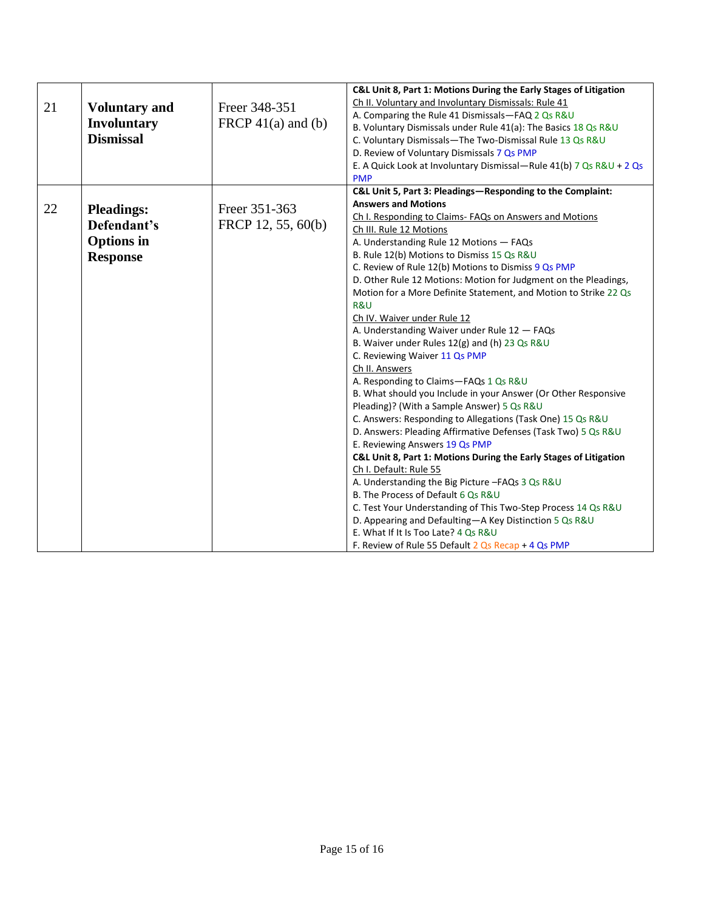| 21 | <b>Voluntary and</b><br><b>Involuntary</b><br><b>Dismissal</b>           | Freer 348-351<br>FRCP $41(a)$ and (b) | C&L Unit 8, Part 1: Motions During the Early Stages of Litigation<br>Ch II. Voluntary and Involuntary Dismissals: Rule 41<br>A. Comparing the Rule 41 Dismissals-FAQ 2 Qs R&U<br>B. Voluntary Dismissals under Rule 41(a): The Basics 18 Qs R&U<br>C. Voluntary Dismissals-The Two-Dismissal Rule 13 Qs R&U<br>D. Review of Voluntary Dismissals 7 Qs PMP<br>E. A Quick Look at Involuntary Dismissal—Rule 41(b) 7 Qs R&U + 2 Qs<br><b>PMP</b>                                                                                                                                                                                                                                                                                                                                                                                                                                                                                                                                                                                                                                                                                                                                                                                                                                                                                                                                                              |
|----|--------------------------------------------------------------------------|---------------------------------------|-------------------------------------------------------------------------------------------------------------------------------------------------------------------------------------------------------------------------------------------------------------------------------------------------------------------------------------------------------------------------------------------------------------------------------------------------------------------------------------------------------------------------------------------------------------------------------------------------------------------------------------------------------------------------------------------------------------------------------------------------------------------------------------------------------------------------------------------------------------------------------------------------------------------------------------------------------------------------------------------------------------------------------------------------------------------------------------------------------------------------------------------------------------------------------------------------------------------------------------------------------------------------------------------------------------------------------------------------------------------------------------------------------------|
| 22 | <b>Pleadings:</b><br>Defendant's<br><b>Options</b> in<br><b>Response</b> | Freer 351-363<br>FRCP 12, 55, 60(b)   | C&L Unit 5, Part 3: Pleadings-Responding to the Complaint:<br><b>Answers and Motions</b><br>Ch I. Responding to Claims- FAQs on Answers and Motions<br>Ch III. Rule 12 Motions<br>A. Understanding Rule 12 Motions - FAQs<br>B. Rule 12(b) Motions to Dismiss 15 Qs R&U<br>C. Review of Rule 12(b) Motions to Dismiss 9 Qs PMP<br>D. Other Rule 12 Motions: Motion for Judgment on the Pleadings,<br>Motion for a More Definite Statement, and Motion to Strike 22 Qs<br>R&U<br>Ch IV. Waiver under Rule 12<br>A. Understanding Waiver under Rule 12 - FAQs<br>B. Waiver under Rules 12(g) and (h) 23 Qs R&U<br>C. Reviewing Waiver 11 Qs PMP<br>Ch II. Answers<br>A. Responding to Claims-FAQs 1 Qs R&U<br>B. What should you Include in your Answer (Or Other Responsive<br>Pleading)? (With a Sample Answer) 5 Qs R&U<br>C. Answers: Responding to Allegations (Task One) 15 Qs R&U<br>D. Answers: Pleading Affirmative Defenses (Task Two) 5 Qs R&U<br>E. Reviewing Answers 19 Qs PMP<br>C&L Unit 8, Part 1: Motions During the Early Stages of Litigation<br>Ch I. Default: Rule 55<br>A. Understanding the Big Picture -FAQs 3 Qs R&U<br>B. The Process of Default 6 Qs R&U<br>C. Test Your Understanding of This Two-Step Process 14 Qs R&U<br>D. Appearing and Defaulting-A Key Distinction 5 Qs R&U<br>E. What If It Is Too Late? 4 Qs R&U<br>F. Review of Rule 55 Default $2$ Qs Recap + 4 Qs PMP |